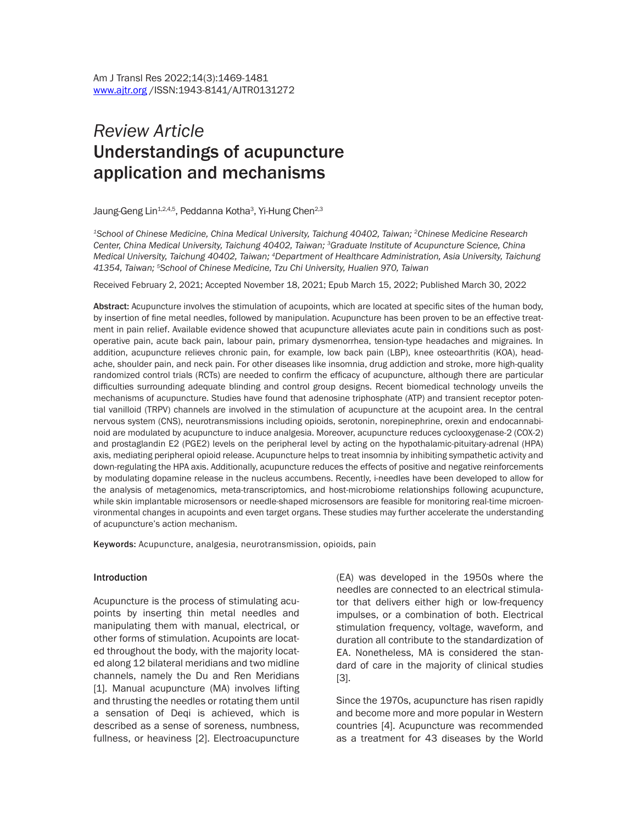# *Review Article* Understandings of acupuncture application and mechanisms

Jaung-Geng Lin<sup>1,2,4,5</sup>, Peddanna Kotha<sup>3</sup>, Yi-Hung Chen<sup>2,3</sup>

*1School of Chinese Medicine, China Medical University, Taichung 40402, Taiwan; 2Chinese Medicine Research Center, China Medical University, Taichung 40402, Taiwan; 3Graduate Institute of Acupuncture Science, China Medical University, Taichung 40402, Taiwan; 4Department of Healthcare Administration, Asia University, Taichung 41354, Taiwan; 5School of Chinese Medicine, Tzu Chi University, Hualien 970, Taiwan*

Received February 2, 2021; Accepted November 18, 2021; Epub March 15, 2022; Published March 30, 2022

Abstract: Acupuncture involves the stimulation of acupoints, which are located at specific sites of the human body, by insertion of fine metal needles, followed by manipulation. Acupuncture has been proven to be an effective treatment in pain relief. Available evidence showed that acupuncture alleviates acute pain in conditions such as postoperative pain, acute back pain, labour pain, primary dysmenorrhea, tension-type headaches and migraines. In addition, acupuncture relieves chronic pain, for example, low back pain (LBP), knee osteoarthritis (KOA), headache, shoulder pain, and neck pain. For other diseases like insomnia, drug addiction and stroke, more high-quality randomized control trials (RCTs) are needed to confirm the efficacy of acupuncture, although there are particular difficulties surrounding adequate blinding and control group designs. Recent biomedical technology unveils the mechanisms of acupuncture. Studies have found that adenosine triphosphate (ATP) and transient receptor potential vanilloid (TRPV) channels are involved in the stimulation of acupuncture at the acupoint area. In the central nervous system (CNS), neurotransmissions including opioids, serotonin, norepinephrine, orexin and endocannabinoid are modulated by acupuncture to induce analgesia. Moreover, acupuncture reduces cyclooxygenase-2 (COX-2) and prostaglandin E2 (PGE2) levels on the peripheral level by acting on the hypothalamic-pituitary-adrenal (HPA) axis, mediating peripheral opioid release. Acupuncture helps to treat insomnia by inhibiting sympathetic activity and down-regulating the HPA axis. Additionally, acupuncture reduces the effects of positive and negative reinforcements by modulating dopamine release in the nucleus accumbens. Recently, i-needles have been developed to allow for the analysis of metagenomics, meta-transcriptomics, and host-microbiome relationships following acupuncture, while skin implantable microsensors or needle-shaped microsensors are feasible for monitoring real-time microenvironmental changes in acupoints and even target organs. These studies may further accelerate the understanding of acupuncture's action mechanism.

Keywords: Acupuncture, analgesia, neurotransmission, opioids, pain

#### Introduction

Acupuncture is the process of stimulating acupoints by inserting thin metal needles and manipulating them with manual, electrical, or other forms of stimulation. Acupoints are located throughout the body, with the majority located along 12 bilateral meridians and two midline channels, namely the Du and Ren Meridians [1]. Manual acupuncture (MA) involves lifting and thrusting the needles or rotating them until a sensation of Deqi is achieved, which is described as a sense of soreness, numbness, fullness, or heaviness [2]. Electroacupuncture (EA) was developed in the 1950s where the needles are connected to an electrical stimulator that delivers either high or low-frequency impulses, or a combination of both. Electrical stimulation frequency, voltage, waveform, and duration all contribute to the standardization of EA. Nonetheless, MA is considered the standard of care in the majority of clinical studies [3].

Since the 1970s, acupuncture has risen rapidly and become more and more popular in Western countries [4]. Acupuncture was recommended as a treatment for 43 diseases by the World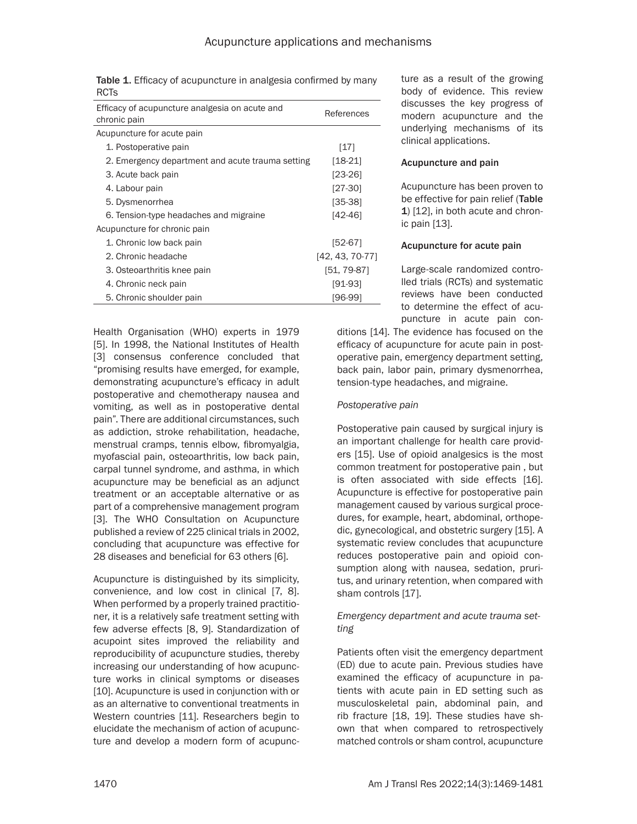| Table 1. Efficacy of acupuncture in analgesia confirmed by many |  |
|-----------------------------------------------------------------|--|
| <b>RCTs</b>                                                     |  |

| Efficacy of acupuncture analgesia on acute and<br>chronic pain | References        |
|----------------------------------------------------------------|-------------------|
| Acupuncture for acute pain                                     |                   |
| 1. Postoperative pain                                          | [17]              |
| 2. Emergency department and acute trauma setting               | $[18-21]$         |
| 3. Acute back pain                                             | [23-26]           |
| 4. Labour pain                                                 | $[27-30]$         |
| 5. Dysmenorrhea                                                | $[35-38]$         |
| 6. Tension-type headaches and migraine                         | [42-46]           |
| Acupuncture for chronic pain                                   |                   |
| 1. Chronic low back pain                                       | [52-67]           |
| 2. Chronic headache                                            | $[42, 43, 70-77]$ |
| 3. Osteoarthritis knee pain                                    | $[51, 79-87]$     |
| 4. Chronic neck pain                                           | [91-93]           |
| 5. Chronic shoulder pain                                       | [96-99]           |

Health Organisation (WHO) experts in 1979 [5]. In 1998, the National Institutes of Health [3] consensus conference concluded that "promising results have emerged, for example, demonstrating acupuncture's efficacy in adult postoperative and chemotherapy nausea and vomiting, as well as in postoperative dental pain". There are additional circumstances, such as addiction, stroke rehabilitation, headache, menstrual cramps, tennis elbow, fibromyalgia, myofascial pain, osteoarthritis, low back pain, carpal tunnel syndrome, and asthma, in which acupuncture may be beneficial as an adjunct treatment or an acceptable alternative or as part of a comprehensive management program [3]. The WHO Consultation on Acupuncture published a review of 225 clinical trials in 2002, concluding that acupuncture was effective for 28 diseases and beneficial for 63 others [6].

Acupuncture is distinguished by its simplicity, convenience, and low cost in clinical [7, 8]. When performed by a properly trained practitioner, it is a relatively safe treatment setting with few adverse effects [8, 9]. Standardization of acupoint sites improved the reliability and reproducibility of acupuncture studies, thereby increasing our understanding of how acupuncture works in clinical symptoms or diseases [10]. Acupuncture is used in conjunction with or as an alternative to conventional treatments in Western countries [11]. Researchers begin to elucidate the mechanism of action of acupuncture and develop a modern form of acupuncture as a result of the growing body of evidence. This review discusses the key progress of modern acupuncture and the underlying mechanisms of its clinical applications.

#### Acupuncture and pain

Acupuncture has been proven to be effective for pain relief (Table 1) [12], in both acute and chronic pain [13].

#### Acupuncture for acute pain

Large-scale randomized controlled trials (RCTs) and systematic reviews have been conducted to determine the effect of acupuncture in acute pain con-

ditions [14]. The evidence has focused on the efficacy of acupuncture for acute pain in postoperative pain, emergency department setting, back pain, labor pain, primary dysmenorrhea, tension-type headaches, and migraine.

# *Postoperative pain*

Postoperative pain caused by surgical injury is an important challenge for health care providers [15]. Use of opioid analgesics is the most common treatment for postoperative pain , but is often associated with side effects [16]. Acupuncture is effective for postoperative pain management caused by various surgical procedures, for example, heart, abdominal, orthopedic, gynecological, and obstetric surgery [15]. A systematic review concludes that acupuncture reduces postoperative pain and opioid consumption along with nausea, sedation, pruritus, and urinary retention, when compared with sham controls [17].

# *Emergency department and acute trauma setting*

Patients often visit the emergency department (ED) due to acute pain. Previous studies have examined the efficacy of acupuncture in patients with acute pain in ED setting such as musculoskeletal pain, abdominal pain, and rib fracture [18, 19]. These studies have shown that when compared to retrospectively matched controls or sham control, acupuncture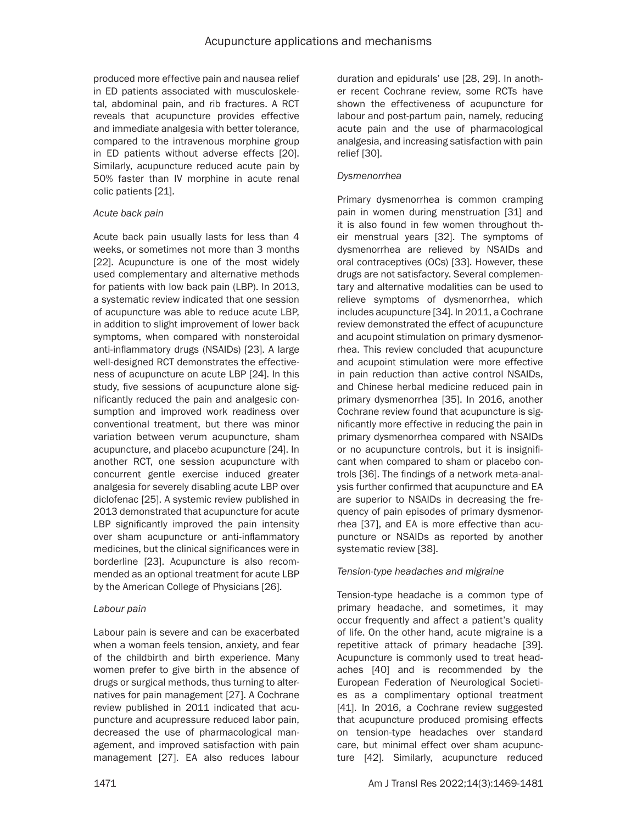produced more effective pain and nausea relief in ED patients associated with musculoskeletal, abdominal pain, and rib fractures. A RCT reveals that acupuncture provides effective and immediate analgesia with better tolerance, compared to the intravenous morphine group in ED patients without adverse effects [20]. Similarly, acupuncture reduced acute pain by 50% faster than IV morphine in acute renal colic patients [21].

## *Acute back pain*

Acute back pain usually lasts for less than 4 weeks, or sometimes not more than 3 months [22]. Acupuncture is one of the most widely used complementary and alternative methods for patients with low back pain (LBP). In 2013, a systematic review indicated that one session of acupuncture was able to reduce acute LBP, in addition to slight improvement of lower back symptoms, when compared with nonsteroidal anti-inflammatory drugs (NSAIDs) [23]. A large well-designed RCT demonstrates the effectiveness of acupuncture on acute LBP [24]. In this study, five sessions of acupuncture alone significantly reduced the pain and analgesic consumption and improved work readiness over conventional treatment, but there was minor variation between verum acupuncture, sham acupuncture, and placebo acupuncture [24]. In another RCT, one session acupuncture with concurrent gentle exercise induced greater analgesia for severely disabling acute LBP over diclofenac [25]. A systemic review published in 2013 demonstrated that acupuncture for acute LBP significantly improved the pain intensity over sham acupuncture or anti-inflammatory medicines, but the clinical significances were in borderline [23]. Acupuncture is also recommended as an optional treatment for acute LBP by the American College of Physicians [26].

# *Labour pain*

Labour pain is severe and can be exacerbated when a woman feels tension, anxiety, and fear of the childbirth and birth experience. Many women prefer to give birth in the absence of drugs or surgical methods, thus turning to alternatives for pain management [27]. A Cochrane review published in 2011 indicated that acupuncture and acupressure reduced labor pain, decreased the use of pharmacological management, and improved satisfaction with pain management [27]. EA also reduces labour duration and epidurals' use [28, 29]. In another recent Cochrane review, some RCTs have shown the effectiveness of acupuncture for labour and post-partum pain, namely, reducing acute pain and the use of pharmacological analgesia, and increasing satisfaction with pain relief [30].

## *Dysmenorrhea*

Primary dysmenorrhea is common cramping pain in women during menstruation [31] and it is also found in few women throughout their menstrual years [32]. The symptoms of dysmenorrhea are relieved by NSAIDs and oral contraceptives (OCs) [33]. However, these drugs are not satisfactory. Several complementary and alternative modalities can be used to relieve symptoms of dysmenorrhea, which includes acupuncture [34]. In 2011, a Cochrane review demonstrated the effect of acupuncture and acupoint stimulation on primary dysmenorrhea. This review concluded that acupuncture and acupoint stimulation were more effective in pain reduction than active control NSAIDs, and Chinese herbal medicine reduced pain in primary dysmenorrhea [35]. In 2016, another Cochrane review found that acupuncture is significantly more effective in reducing the pain in primary dysmenorrhea compared with NSAIDs or no acupuncture controls, but it is insignificant when compared to sham or placebo controls [36]. The findings of a network meta-analysis further confirmed that acupuncture and EA are superior to NSAIDs in decreasing the frequency of pain episodes of primary dysmenorrhea [37], and EA is more effective than acupuncture or NSAIDs as reported by another systematic review [38].

# *Tension-type headaches and migraine*

Tension-type headache is a common type of primary headache, and sometimes, it may occur frequently and affect a patient's quality of life. On the other hand, acute migraine is a repetitive attack of primary headache [39]. Acupuncture is commonly used to treat headaches [40] and is recommended by the European Federation of Neurological Societies as a complimentary optional treatment [41]. In 2016, a Cochrane review suggested that acupuncture produced promising effects on tension-type headaches over standard care, but minimal effect over sham acupuncture [42]. Similarly, acupuncture reduced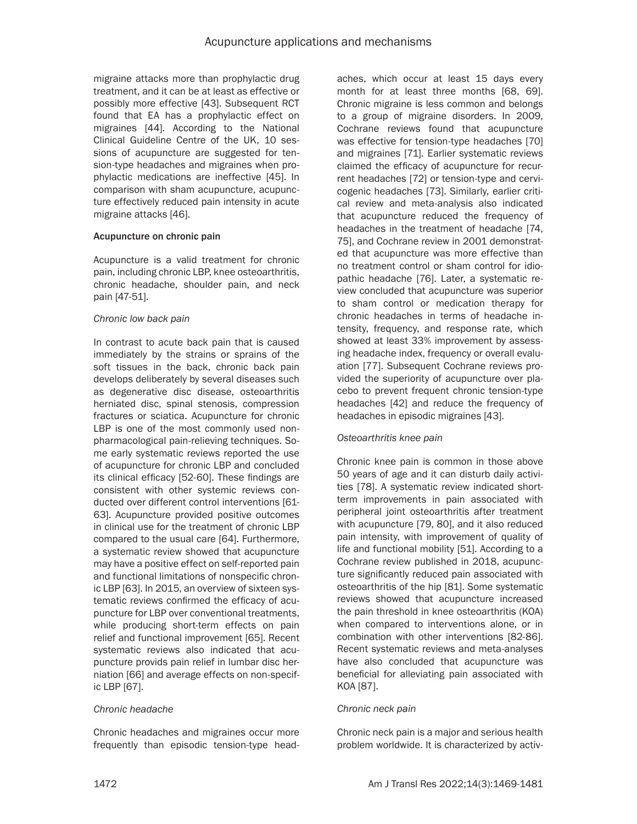migraine attacks more than prophylactic drug treatment, and it can be at least as effective or possibly more effective [43]. Subsequent RCT found that EA has a prophylactic effect on migraines [44]. According to the National Clinical Guideline Centre of the UK, 10 sessions of acupuncture are suggested for tension-type headaches and migraines when prophylactic medications are ineffective [45]. In comparison with sham acupuncture, acupuncture effectively reduced pain intensity in acute migraine attacks [46].

## Acupuncture on chronic pain

Acupuncture is a valid treatment for chronic pain, including chronic LBP, knee osteoarthritis, chronic headache, shoulder pain, and neck pain [47-51].

#### *Chronic low back pain*

In contrast to acute back pain that is caused immediately by the strains or sprains of the soft tissues in the back, chronic back pain develops deliberately by several diseases such as degenerative disc disease, osteoarthritis herniated disc, spinal stenosis, compression fractures or sciatica. Acupuncture for chronic LBP is one of the most commonly used nonpharmacological pain-relieving techniques. Some early systematic reviews reported the use of acupuncture for chronic LBP and concluded its clinical efficacy [52-60]. These findings are consistent with other systemic reviews conducted over different control interventions [61- 63]. Acupuncture provided positive outcomes in clinical use for the treatment of chronic LBP compared to the usual care [64]. Furthermore, a systematic review showed that acupuncture may have a positive effect on self-reported pain and functional limitations of nonspecific chronic LBP [63]. In 2015, an overview of sixteen systematic reviews confirmed the efficacy of acupuncture for LBP over conventional treatments, while producing short-term effects on pain relief and functional improvement [65]. Recent systematic reviews also indicated that acupuncture provids pain relief in lumbar disc herniation [66] and average effects on non-specific LBP [67].

#### *Chronic headache*

Chronic headaches and migraines occur more frequently than episodic tension-type headaches, which occur at least 15 days every month for at least three months [68, 69]. Chronic migraine is less common and belongs to a group of migraine disorders. In 2009, Cochrane reviews found that acupuncture was effective for tension-type headaches [70] and migraines [71]. Earlier systematic reviews claimed the efficacy of acupuncture for recurrent headaches [72] or tension-type and cervicogenic headaches [73]. Similarly, earlier critical review and meta-analysis also indicated that acupuncture reduced the frequency of headaches in the treatment of headache [74, 75], and Cochrane review in 2001 demonstrated that acupuncture was more effective than no treatment control or sham control for idiopathic headache [76]. Later, a systematic review concluded that acupuncture was superior to sham control or medication therapy for chronic headaches in terms of headache intensity, frequency, and response rate, which showed at least 33% improvement by assessing headache index, frequency or overall evaluation [77]. Subsequent Cochrane reviews provided the superiority of acupuncture over placebo to prevent frequent chronic tension-type headaches [42] and reduce the frequency of headaches in episodic migraines [43].

# *Osteoarthritis knee pain*

Chronic knee pain is common in those above 50 years of age and it can disturb daily activities [78]. A systematic review indicated shortterm improvements in pain associated with peripheral joint osteoarthritis after treatment with acupuncture [79, 80], and it also reduced pain intensity, with improvement of quality of life and functional mobility [51]. According to a Cochrane review published in 2018, acupuncture significantly reduced pain associated with osteoarthritis of the hip [81]. Some systematic reviews showed that acupuncture increased the pain threshold in knee osteoarthritis (KOA) when compared to interventions alone, or in combination with other interventions [82-86]. Recent systematic reviews and meta-analyses have also concluded that acupuncture was beneficial for alleviating pain associated with KOA [87].

#### *Chronic neck pain*

Chronic neck pain is a major and serious health problem worldwide. It is characterized by activ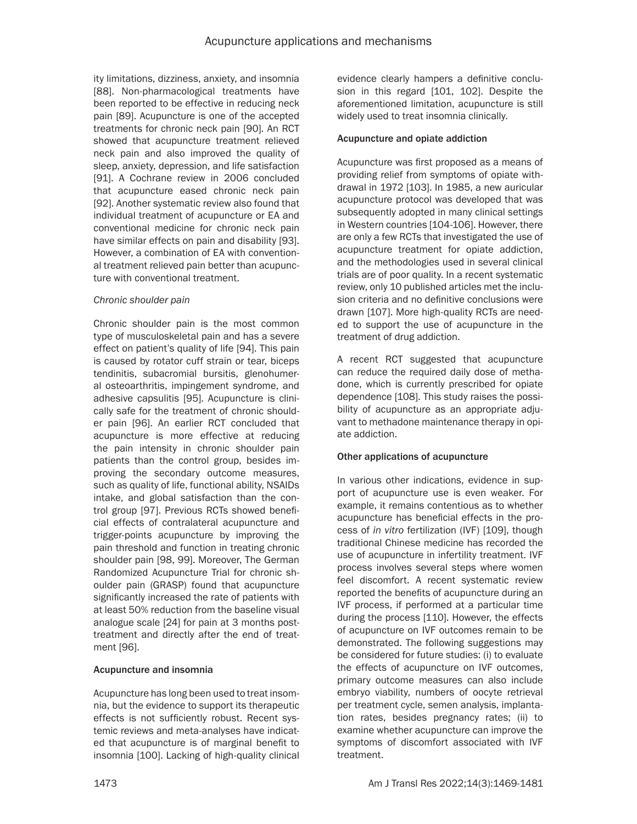ity limitations, dizziness, anxiety, and insomnia [88]. Non-pharmacological treatments have been reported to be effective in reducing neck pain [89]. Acupuncture is one of the accepted treatments for chronic neck pain [90]. An RCT showed that acupuncture treatment relieved neck pain and also improved the quality of sleep, anxiety, depression, and life satisfaction [91]. A Cochrane review in 2006 concluded that acupuncture eased chronic neck pain [92]. Another systematic review also found that individual treatment of acupuncture or EA and conventional medicine for chronic neck pain have similar effects on pain and disability [93]. However, a combination of EA with conventional treatment relieved pain better than acupuncture with conventional treatment.

## *Chronic shoulder pain*

Chronic shoulder pain is the most common type of musculoskeletal pain and has a severe effect on patient's quality of life [94]. This pain is caused by rotator cuff strain or tear, biceps tendinitis, subacromial bursitis, glenohumeral osteoarthritis, impingement syndrome, and adhesive capsulitis [95]. Acupuncture is clinically safe for the treatment of chronic shoulder pain [96]. An earlier RCT concluded that acupuncture is more effective at reducing the pain intensity in chronic shoulder pain patients than the control group, besides improving the secondary outcome measures, such as quality of life, functional ability, NSAIDs intake, and global satisfaction than the control group [97]. Previous RCTs showed beneficial effects of contralateral acupuncture and trigger-points acupuncture by improving the pain threshold and function in treating chronic shoulder pain [98, 99]. Moreover, The German Randomized Acupuncture Trial for chronic shoulder pain (GRASP) found that acupuncture significantly increased the rate of patients with at least 50% reduction from the baseline visual analogue scale [24] for pain at 3 months posttreatment and directly after the end of treatment [96].

# Acupuncture and insomnia

Acupuncture has long been used to treat insomnia, but the evidence to support its therapeutic effects is not sufficiently robust. Recent systemic reviews and meta-analyses have indicated that acupuncture is of marginal benefit to insomnia [100]. Lacking of high-quality clinical evidence clearly hampers a definitive conclusion in this regard [101, 102]. Despite the aforementioned limitation, acupuncture is still widely used to treat insomnia clinically.

#### Acupuncture and opiate addiction

Acupuncture was first proposed as a means of providing relief from symptoms of opiate withdrawal in 1972 [103]. In 1985, a new auricular acupuncture protocol was developed that was subsequently adopted in many clinical settings in Western countries [104-106]. However, there are only a few RCTs that investigated the use of acupuncture treatment for opiate addiction, and the methodologies used in several clinical trials are of poor quality. In a recent systematic review, only 10 published articles met the inclusion criteria and no definitive conclusions were drawn [107]. More high-quality RCTs are needed to support the use of acupuncture in the treatment of drug addiction.

A recent RCT suggested that acupuncture can reduce the required daily dose of methadone, which is currently prescribed for opiate dependence [108]. This study raises the possibility of acupuncture as an appropriate adjuvant to methadone maintenance therapy in opiate addiction.

# Other applications of acupuncture

In various other indications, evidence in support of acupuncture use is even weaker. For example, it remains contentious as to whether acupuncture has beneficial effects in the process of *in vitro* fertilization (IVF) [109], though traditional Chinese medicine has recorded the use of acupuncture in infertility treatment. IVF process involves several steps where women feel discomfort. A recent systematic review reported the benefits of acupuncture during an IVF process, if performed at a particular time during the process [110]. However, the effects of acupuncture on IVF outcomes remain to be demonstrated. The following suggestions may be considered for future studies: (i) to evaluate the effects of acupuncture on IVF outcomes, primary outcome measures can also include embryo viability, numbers of oocyte retrieval per treatment cycle, semen analysis, implantation rates, besides pregnancy rates; (ii) to examine whether acupuncture can improve the symptoms of discomfort associated with IVF treatment.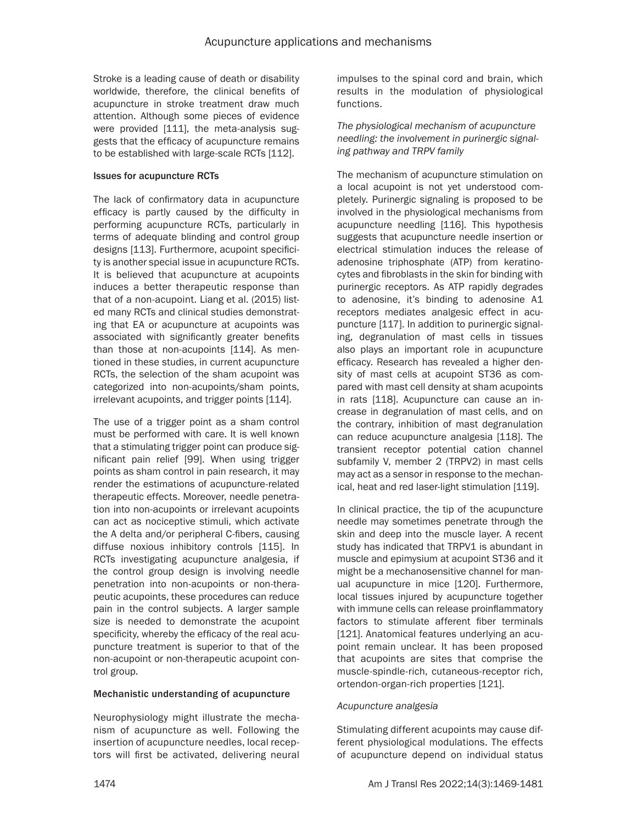Stroke is a leading cause of death or disability worldwide, therefore, the clinical benefits of acupuncture in stroke treatment draw much attention. Although some pieces of evidence were provided [111], the meta-analysis suggests that the efficacy of acupuncture remains to be established with large-scale RCTs [112].

#### Issues for acupuncture RCTs

The lack of confirmatory data in acupuncture efficacy is partly caused by the difficulty in performing acupuncture RCTs, particularly in terms of adequate blinding and control group designs [113]. Furthermore, acupoint specificity is another special issue in acupuncture RCTs. It is believed that acupuncture at acupoints induces a better therapeutic response than that of a non-acupoint. Liang et al. (2015) listed many RCTs and clinical studies demonstrating that EA or acupuncture at acupoints was associated with significantly greater benefits than those at non-acupoints [114]. As mentioned in these studies, in current acupuncture RCTs, the selection of the sham acupoint was categorized into non-acupoints/sham points, irrelevant acupoints, and trigger points [114].

The use of a trigger point as a sham control must be performed with care. It is well known that a stimulating trigger point can produce significant pain relief [99]. When using trigger points as sham control in pain research, it may render the estimations of acupuncture-related therapeutic effects. Moreover, needle penetration into non-acupoints or irrelevant acupoints can act as nociceptive stimuli, which activate the A delta and/or peripheral C-fibers, causing diffuse noxious inhibitory controls [115]. In RCTs investigating acupuncture analgesia, if the control group design is involving needle penetration into non-acupoints or non-therapeutic acupoints, these procedures can reduce pain in the control subjects. A larger sample size is needed to demonstrate the acupoint specificity, whereby the efficacy of the real acupuncture treatment is superior to that of the non-acupoint or non-therapeutic acupoint control group.

#### Mechanistic understanding of acupuncture

Neurophysiology might illustrate the mechanism of acupuncture as well. Following the insertion of acupuncture needles, local receptors will first be activated, delivering neural impulses to the spinal cord and brain, which results in the modulation of physiological functions.

*The physiological mechanism of acupuncture needling: the involvement in purinergic signaling pathway and TRPV family*

The mechanism of acupuncture stimulation on a local acupoint is not yet understood completely. Purinergic signaling is proposed to be involved in the physiological mechanisms from acupuncture needling [116]. This hypothesis suggests that acupuncture needle insertion or electrical stimulation induces the release of adenosine triphosphate (ATP) from keratinocytes and fibroblasts in the skin for binding with purinergic receptors. As ATP rapidly degrades to adenosine, it's binding to adenosine A1 receptors mediates analgesic effect in acupuncture [117]. In addition to purinergic signaling, degranulation of mast cells in tissues also plays an important role in acupuncture efficacy. Research has revealed a higher density of mast cells at acupoint ST36 as compared with mast cell density at sham acupoints in rats [118]. Acupuncture can cause an increase in degranulation of mast cells, and on the contrary, inhibition of mast degranulation can reduce acupuncture analgesia [118]. The transient receptor potential cation channel subfamily V, member 2 (TRPV2) in mast cells may act as a sensor in response to the mechanical, heat and red laser-light stimulation [119].

In clinical practice, the tip of the acupuncture needle may sometimes penetrate through the skin and deep into the muscle layer. A recent study has indicated that TRPV1 is abundant in muscle and epimysium at acupoint ST36 and it might be a mechanosensitive channel for manual acupuncture in mice [120]. Furthermore, local tissues injured by acupuncture together with immune cells can release proinflammatory factors to stimulate afferent fiber terminals [121]. Anatomical features underlying an acupoint remain unclear. It has been proposed that acupoints are sites that comprise the muscle-spindle-rich, cutaneous-receptor rich, ortendon-organ-rich properties [121].

#### *Acupuncture analgesia*

Stimulating different acupoints may cause different physiological modulations. The effects of acupuncture depend on individual status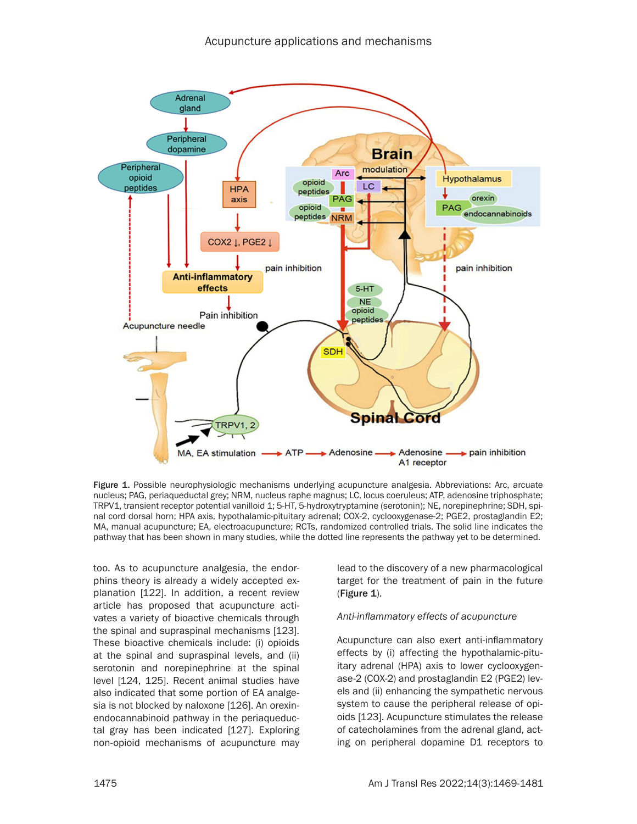

Figure 1. Possible neurophysiologic mechanisms underlying acupuncture analgesia. Abbreviations: Arc, arcuate nucleus; PAG, periaqueductal grey; NRM, nucleus raphe magnus; LC, locus coeruleus; ATP, adenosine triphosphate; TRPV1, transient receptor potential vanilloid 1; 5-HT, 5-hydroxytryptamine (serotonin); NE, norepinephrine; SDH, spinal cord dorsal horn; HPA axis, hypothalamic-pituitary adrenal; COX-2, cyclooxygenase-2; PGE2, prostaglandin E2; MA, manual acupuncture; EA, electroacupuncture; RCTs, randomized controlled trials. The solid line indicates the pathway that has been shown in many studies, while the dotted line represents the pathway yet to be determined.

too. As to acupuncture analgesia, the endorphins theory is already a widely accepted explanation [122]. In addition, a recent review article has proposed that acupuncture activates a variety of bioactive chemicals through the spinal and supraspinal mechanisms [123]. These bioactive chemicals include: (i) opioids at the spinal and supraspinal levels, and (ii) serotonin and norepinephrine at the spinal level [124, 125]. Recent animal studies have also indicated that some portion of EA analgesia is not blocked by naloxone [126]. An orexinendocannabinoid pathway in the periaqueductal gray has been indicated [127]. Exploring non-opioid mechanisms of acupuncture may

lead to the discovery of a new pharmacological target for the treatment of pain in the future (Figure 1).

#### *Anti-inflammatory effects of acupuncture*

Acupuncture can also exert anti-inflammatory effects by (i) affecting the hypothalamic-pituitary adrenal (HPA) axis to lower cyclooxygenase-2 (COX-2) and prostaglandin E2 (PGE2) levels and (ii) enhancing the sympathetic nervous system to cause the peripheral release of opioids [123]. Acupuncture stimulates the release of catecholamines from the adrenal gland, acting on peripheral dopamine D1 receptors to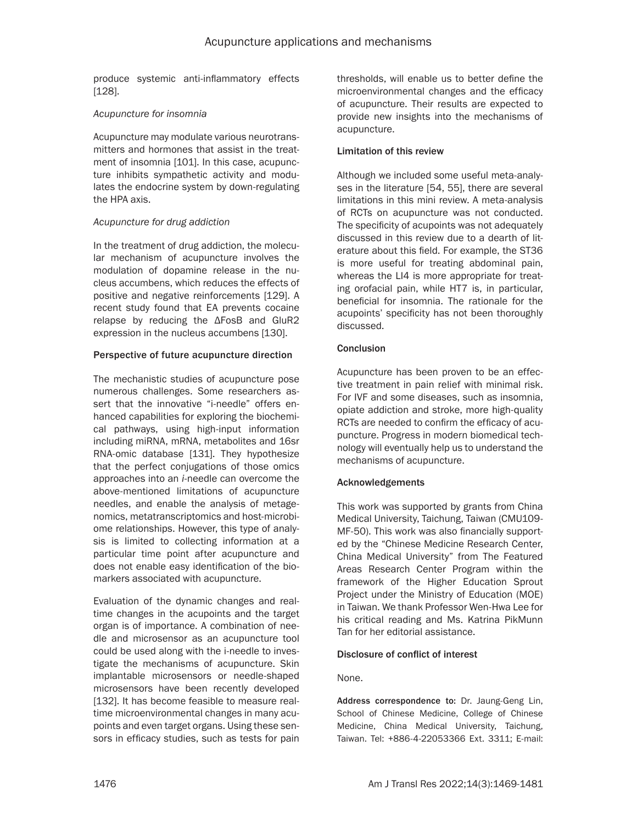produce systemic anti-inflammatory effects [128].

## *Acupuncture for insomnia*

Acupuncture may modulate various neurotransmitters and hormones that assist in the treatment of insomnia [101]. In this case, acupuncture inhibits sympathetic activity and modulates the endocrine system by down-regulating the HPA axis.

## *Acupuncture for drug addiction*

In the treatment of drug addiction, the molecular mechanism of acupuncture involves the modulation of dopamine release in the nucleus accumbens, which reduces the effects of positive and negative reinforcements [129]. A recent study found that EA prevents cocaine relapse by reducing the ΔFosB and GluR2 expression in the nucleus accumbens [130].

## Perspective of future acupuncture direction

The mechanistic studies of acupuncture pose numerous challenges. Some researchers assert that the innovative "i-needle" offers enhanced capabilities for exploring the biochemical pathways, using high-input information including miRNA, mRNA, metabolites and 16sr RNA-omic database [131]. They hypothesize that the perfect conjugations of those omics approaches into an *i*-needle can overcome the above-mentioned limitations of acupuncture needles, and enable the analysis of metagenomics, metatranscriptomics and host-microbiome relationships. However, this type of analysis is limited to collecting information at a particular time point after acupuncture and does not enable easy identification of the biomarkers associated with acupuncture.

Evaluation of the dynamic changes and realtime changes in the acupoints and the target organ is of importance. A combination of needle and microsensor as an acupuncture tool could be used along with the i-needle to investigate the mechanisms of acupuncture. Skin implantable microsensors or needle-shaped microsensors have been recently developed [132]. It has become feasible to measure realtime microenvironmental changes in many acupoints and even target organs. Using these sensors in efficacy studies, such as tests for pain thresholds, will enable us to better define the microenvironmental changes and the efficacy of acupuncture. Their results are expected to provide new insights into the mechanisms of acupuncture.

## Limitation of this review

Although we included some useful meta-analyses in the literature [54, 55], there are several limitations in this mini review. A meta-analysis of RCTs on acupuncture was not conducted. The specificity of acupoints was not adequately discussed in this review due to a dearth of literature about this field. For example, the ST36 is more useful for treating abdominal pain, whereas the LI4 is more appropriate for treating orofacial pain, while HT7 is, in particular, beneficial for insomnia. The rationale for the acupoints' specificity has not been thoroughly discussed.

## **Conclusion**

Acupuncture has been proven to be an effective treatment in pain relief with minimal risk. For IVF and some diseases, such as insomnia, opiate addiction and stroke, more high-quality RCTs are needed to confirm the efficacy of acupuncture. Progress in modern biomedical technology will eventually help us to understand the mechanisms of acupuncture.

# Acknowledgements

This work was supported by grants from China Medical University, Taichung, Taiwan (CMU109- MF-50). This work was also financially supported by the "Chinese Medicine Research Center, China Medical University" from The Featured Areas Research Center Program within the framework of the Higher Education Sprout Project under the Ministry of Education (MOE) in Taiwan. We thank Professor Wen-Hwa Lee for his critical reading and Ms. Katrina PikMunn Tan for her editorial assistance.

#### Disclosure of conflict of interest

#### None.

Address correspondence to: Dr. Jaung-Geng Lin, School of Chinese Medicine, College of Chinese Medicine, China Medical University, Taichung, Taiwan. Tel: +886-4-22053366 Ext. 3311; E-mail: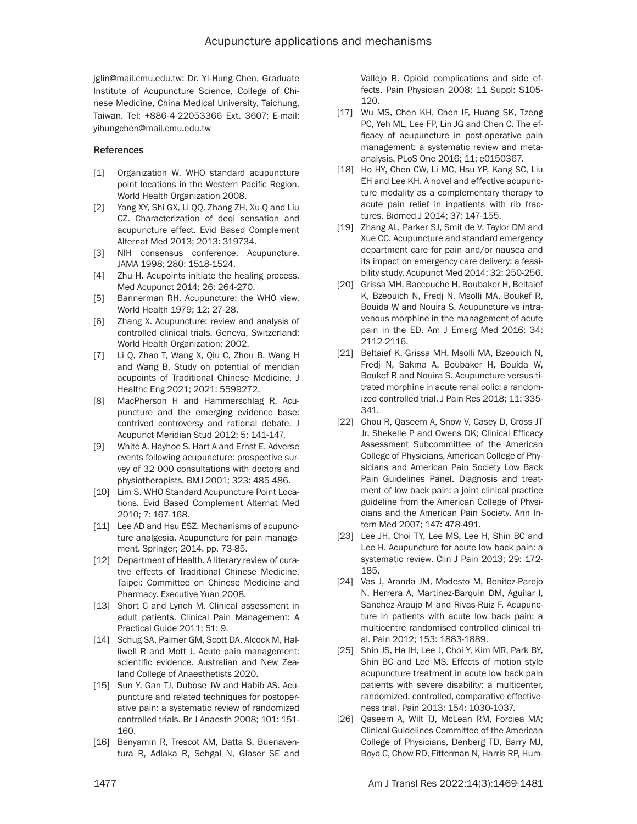jglin@mail.cmu.edu.tw; Dr. Yi-Hung Chen, Graduate Institute of Acupuncture Science, College of Chinese Medicine, China Medical University, Taichung, Taiwan. Tel: +886-4-22053366 Ext. 3607; E-mail: yihungchen@mail.cmu.edu.tw

#### References

- [1] Organization W. WHO standard acupuncture point locations in the Western Pacific Region. World Health Organization 2008.
- [2] Yang XY, Shi GX, Li QQ, Zhang ZH, Xu Q and Liu CZ. Characterization of deqi sensation and acupuncture effect. Evid Based Complement Alternat Med 2013; 2013: 319734.
- [3] NIH consensus conference. Acupuncture. JAMA 1998; 280: 1518-1524.
- [4] Zhu H. Acupoints initiate the healing process. Med Acupunct 2014; 26: 264-270.
- [5] Bannerman RH. Acupuncture: the WHO view. World Health 1979; 12: 27-28.
- [6] Zhang X. Acupuncture: review and analysis of controlled clinical trials. Geneva, Switzerland: World Health Organization; 2002.
- [7] Li Q, Zhao T, Wang X, Qiu C, Zhou B, Wang H and Wang B. Study on potential of meridian acupoints of Traditional Chinese Medicine. J Healthc Eng 2021; 2021: 5599272.
- [8] MacPherson H and Hammerschlag R. Acupuncture and the emerging evidence base: contrived controversy and rational debate. J Acupunct Meridian Stud 2012; 5: 141-147.
- [9] White A, Hayhoe S, Hart A and Ernst E. Adverse events following acupuncture: prospective survey of 32 000 consultations with doctors and physiotherapists. BMJ 2001; 323: 485-486.
- [10] Lim S. WHO Standard Acupuncture Point Locations. Evid Based Complement Alternat Med 2010; 7: 167-168.
- [11] Lee AD and Hsu ESZ. Mechanisms of acupuncture analgesia. Acupuncture for pain management. Springer; 2014. pp. 73-85.
- [12] Department of Health. A literary review of curative effects of Traditional Chinese Medicine. Taipei: Committee on Chinese Medicine and Pharmacy. Executive Yuan 2008.
- [13] Short C and Lynch M. Clinical assessment in adult patients. Clinical Pain Management: A Practical Guide 2011; 51: 9.
- [14] Schug SA, Palmer GM, Scott DA, Alcock M, Halliwell R and Mott J. Acute pain management: scientific evidence. Australian and New Zealand College of Anaesthetists 2020.
- [15] Sun Y, Gan TJ, Dubose JW and Habib AS. Acupuncture and related techniques for postoperative pain: a systematic review of randomized controlled trials. Br J Anaesth 2008; 101: 151- 160.
- [16] Benyamin R, Trescot AM, Datta S, Buenaventura R, Adlaka R, Sehgal N, Glaser SE and

Vallejo R. Opioid complications and side effects. Pain Physician 2008; 11 Suppl: S105- 120.

- [17] Wu MS, Chen KH, Chen IF, Huang SK, Tzeng PC, Yeh ML, Lee FP, Lin JG and Chen C. The efficacy of acupuncture in post-operative pain management: a systematic review and metaanalysis. PLoS One 2016; 11: e0150367.
- [18] Ho HY, Chen CW, Li MC, Hsu YP, Kang SC, Liu EH and Lee KH. A novel and effective acupuncture modality as a complementary therapy to acute pain relief in inpatients with rib fractures. Biomed J 2014; 37: 147-155.
- [19] Zhang AL, Parker SJ, Smit de V, Taylor DM and Xue CC. Acupuncture and standard emergency department care for pain and/or nausea and its impact on emergency care delivery: a feasibility study. Acupunct Med 2014; 32: 250-256.
- [20] Grissa MH, Baccouche H, Boubaker H, Beltaief K, Bzeouich N, Fredj N, Msolli MA, Boukef R, Bouida W and Nouira S. Acupuncture vs intravenous morphine in the management of acute pain in the ED. Am J Emerg Med 2016; 34: 2112-2116.
- [21] Beltaief K, Grissa MH, Msolli MA, Bzeouich N, Fredj N, Sakma A, Boubaker H, Bouida W, Boukef R and Nouira S. Acupuncture versus titrated morphine in acute renal colic: a randomized controlled trial. J Pain Res 2018; 11: 335- 341.
- [22] Chou R, Qaseem A, Snow V, Casey D, Cross JT Jr, Shekelle P and Owens DK; Clinical Efficacy Assessment Subcommittee of the American College of Physicians, American College of Physicians and American Pain Society Low Back Pain Guidelines Panel. Diagnosis and treatment of low back pain: a joint clinical practice guideline from the American College of Physicians and the American Pain Society. Ann Intern Med 2007; 147: 478-491.
- [23] Lee JH, Choi TY, Lee MS, Lee H, Shin BC and Lee H. Acupuncture for acute low back pain: a systematic review. Clin J Pain 2013; 29: 172- 185.
- [24] Vas J, Aranda JM, Modesto M, Benitez-Parejo N, Herrera A, Martinez-Barquin DM, Aguilar I, Sanchez-Araujo M and Rivas-Ruiz F. Acupuncture in patients with acute low back pain: a multicentre randomised controlled clinical trial. Pain 2012; 153: 1883-1889.
- [25] Shin JS, Ha IH, Lee J, Choi Y, Kim MR, Park BY, Shin BC and Lee MS. Effects of motion style acupuncture treatment in acute low back pain patients with severe disability: a multicenter, randomized, controlled, comparative effectiveness trial. Pain 2013; 154: 1030-1037.
- [26] Qaseem A, Wilt TJ, McLean RM, Forciea MA; Clinical Guidelines Committee of the American College of Physicians, Denberg TD, Barry MJ, Boyd C, Chow RD, Fitterman N, Harris RP, Hum-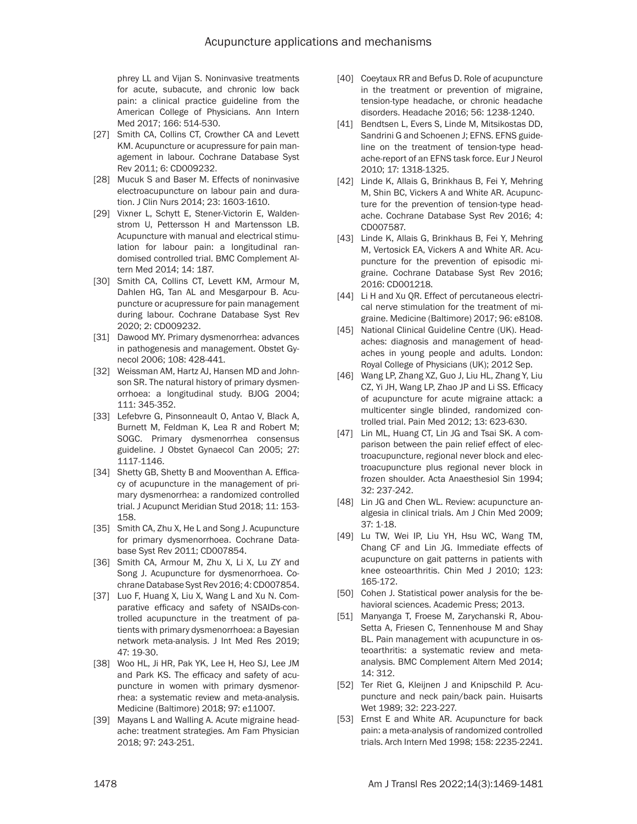phrey LL and Vijan S. Noninvasive treatments for acute, subacute, and chronic low back pain: a clinical practice guideline from the American College of Physicians. Ann Intern Med 2017; 166: 514-530.

- [27] Smith CA, Collins CT, Crowther CA and Levett KM. Acupuncture or acupressure for pain management in labour. Cochrane Database Syst Rev 2011; 6: CD009232.
- [28] Mucuk S and Baser M. Effects of noninvasive electroacupuncture on labour pain and duration. J Clin Nurs 2014; 23: 1603-1610.
- [29] Vixner L, Schytt E, Stener-Victorin E, Waldenstrom U, Pettersson H and Martensson LB. Acupuncture with manual and electrical stimulation for labour pain: a longitudinal randomised controlled trial. BMC Complement Altern Med 2014; 14: 187.
- [30] Smith CA, Collins CT, Levett KM, Armour M, Dahlen HG, Tan AL and Mesgarpour B. Acupuncture or acupressure for pain management during labour. Cochrane Database Syst Rev 2020; 2: CD009232.
- [31] Dawood MY. Primary dysmenorrhea: advances in pathogenesis and management. Obstet Gynecol 2006; 108: 428-441.
- [32] Weissman AM, Hartz AJ, Hansen MD and Johnson SR. The natural history of primary dysmenorrhoea: a longitudinal study. BJOG 2004; 111: 345-352.
- [33] Lefebvre G, Pinsonneault O, Antao V, Black A, Burnett M, Feldman K, Lea R and Robert M; SOGC. Primary dysmenorrhea consensus guideline. J Obstet Gynaecol Can 2005; 27: 1117-1146.
- [34] Shetty GB, Shetty B and Mooventhan A. Efficacy of acupuncture in the management of primary dysmenorrhea: a randomized controlled trial. J Acupunct Meridian Stud 2018; 11: 153- 158.
- [35] Smith CA, Zhu X, He L and Song J. Acupuncture for primary dysmenorrhoea. Cochrane Database Syst Rev 2011; CD007854.
- [36] Smith CA, Armour M, Zhu X, Li X, Lu ZY and Song J. Acupuncture for dysmenorrhoea. Cochrane Database Syst Rev 2016; 4: CD007854.
- [37] Luo F, Huang X, Liu X, Wang L and Xu N. Comparative efficacy and safety of NSAIDs-controlled acupuncture in the treatment of patients with primary dysmenorrhoea: a Bayesian network meta-analysis. J Int Med Res 2019; 47: 19-30.
- [38] Woo HL, Ji HR, Pak YK, Lee H, Heo SJ, Lee JM and Park KS. The efficacy and safety of acupuncture in women with primary dysmenorrhea: a systematic review and meta-analysis. Medicine (Baltimore) 2018; 97: e11007.
- [39] Mayans L and Walling A. Acute migraine headache: treatment strategies. Am Fam Physician 2018; 97: 243-251.
- [40] Coeytaux RR and Befus D. Role of acupuncture in the treatment or prevention of migraine, tension-type headache, or chronic headache disorders. Headache 2016; 56: 1238-1240.
- [41] Bendtsen L, Evers S, Linde M, Mitsikostas DD, Sandrini G and Schoenen J; EFNS. EFNS guideline on the treatment of tension-type headache-report of an EFNS task force. Eur J Neurol 2010; 17: 1318-1325.
- [42] Linde K, Allais G, Brinkhaus B, Fei Y, Mehring M, Shin BC, Vickers A and White AR. Acupuncture for the prevention of tension-type headache. Cochrane Database Syst Rev 2016; 4: CD007587.
- [43] Linde K, Allais G, Brinkhaus B, Fei Y, Mehring M, Vertosick EA, Vickers A and White AR. Acupuncture for the prevention of episodic migraine. Cochrane Database Syst Rev 2016; 2016: CD001218.
- [44] Li H and Xu QR. Effect of percutaneous electrical nerve stimulation for the treatment of migraine. Medicine (Baltimore) 2017; 96: e8108.
- [45] National Clinical Guideline Centre (UK). Headaches: diagnosis and management of headaches in young people and adults. London: Royal College of Physicians (UK); 2012 Sep.
- [46] Wang LP, Zhang XZ, Guo J, Liu HL, Zhang Y, Liu CZ, Yi JH, Wang LP, Zhao JP and Li SS. Efficacy of acupuncture for acute migraine attack: a multicenter single blinded, randomized controlled trial. Pain Med 2012; 13: 623-630.
- [47] Lin ML, Huang CT, Lin JG and Tsai SK. A comparison between the pain relief effect of electroacupuncture, regional never block and electroacupuncture plus regional never block in frozen shoulder. Acta Anaesthesiol Sin 1994; 32: 237-242.
- [48] Lin JG and Chen WL. Review: acupuncture analgesia in clinical trials. Am J Chin Med 2009; 37: 1-18.
- [49] Lu TW, Wei IP, Liu YH, Hsu WC, Wang TM, Chang CF and Lin JG. Immediate effects of acupuncture on gait patterns in patients with knee osteoarthritis. Chin Med J 2010; 123: 165-172.
- [50] Cohen J. Statistical power analysis for the behavioral sciences. Academic Press; 2013.
- [51] Manyanga T, Froese M, Zarychanski R, Abou-Setta A, Friesen C, Tennenhouse M and Shay BL. Pain management with acupuncture in osteoarthritis: a systematic review and metaanalysis. BMC Complement Altern Med 2014; 14: 312.
- [52] Ter Riet G, Kleijnen J and Knipschild P. Acupuncture and neck pain/back pain. Huisarts Wet 1989; 32: 223-227.
- [53] Ernst E and White AR. Acupuncture for back pain: a meta-analysis of randomized controlled trials. Arch Intern Med 1998; 158: 2235-2241.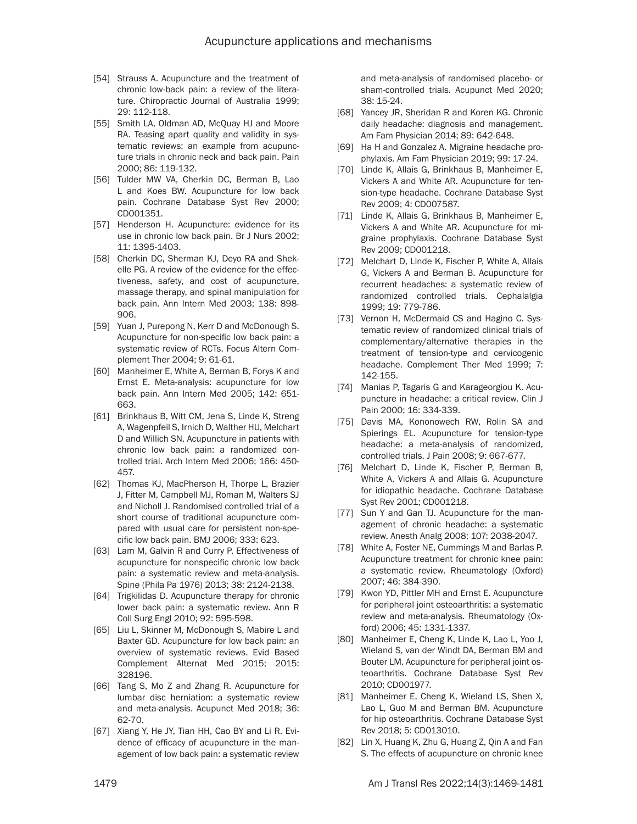- [54] Strauss A. Acupuncture and the treatment of chronic low-back pain: a review of the literature. Chiropractic Journal of Australia 1999; 29: 112-118.
- [55] Smith LA, Oldman AD, McQuay HJ and Moore RA. Teasing apart quality and validity in systematic reviews: an example from acupuncture trials in chronic neck and back pain. Pain 2000; 86: 119-132.
- [56] Tulder MW VA, Cherkin DC, Berman B, Lao L and Koes BW. Acupuncture for low back pain. Cochrane Database Syst Rev 2000; CD001351.
- [57] Henderson H. Acupuncture: evidence for its use in chronic low back pain. Br J Nurs 2002; 11: 1395-1403.
- [58] Cherkin DC, Sherman KJ, Deyo RA and Shekelle PG. A review of the evidence for the effectiveness, safety, and cost of acupuncture, massage therapy, and spinal manipulation for back pain. Ann Intern Med 2003; 138: 898- 906.
- [59] Yuan J, Purepong N, Kerr D and McDonough S. Acupuncture for non-specific low back pain: a systematic review of RCTs. Focus Altern Complement Ther 2004; 9: 61-61.
- [60] Manheimer E, White A, Berman B, Forys K and Ernst E. Meta-analysis: acupuncture for low back pain. Ann Intern Med 2005; 142: 651- 663.
- [61] Brinkhaus B, Witt CM, Jena S, Linde K, Streng A, Wagenpfeil S, Irnich D, Walther HU, Melchart D and Willich SN. Acupuncture in patients with chronic low back pain: a randomized controlled trial. Arch Intern Med 2006; 166: 450- 457.
- [62] Thomas KJ, MacPherson H, Thorpe L, Brazier J, Fitter M, Campbell MJ, Roman M, Walters SJ and Nicholl J. Randomised controlled trial of a short course of traditional acupuncture compared with usual care for persistent non-specific low back pain. BMJ 2006; 333: 623.
- [63] Lam M, Galvin R and Curry P. Effectiveness of acupuncture for nonspecific chronic low back pain: a systematic review and meta-analysis. Spine (Phila Pa 1976) 2013; 38: 2124-2138.
- [64] Trigkilidas D. Acupuncture therapy for chronic lower back pain: a systematic review. Ann R Coll Surg Engl 2010; 92: 595-598.
- [65] Liu L, Skinner M, McDonough S, Mabire L and Baxter GD. Acupuncture for low back pain: an overview of systematic reviews. Evid Based Complement Alternat Med 2015; 2015: 328196.
- [66] Tang S, Mo Z and Zhang R. Acupuncture for lumbar disc herniation: a systematic review and meta-analysis. Acupunct Med 2018; 36: 62-70.
- [67] Xiang Y, He JY, Tian HH, Cao BY and Li R. Evidence of efficacy of acupuncture in the management of low back pain: a systematic review

and meta-analysis of randomised placebo- or sham-controlled trials. Acupunct Med 2020; 38: 15-24.

- [68] Yancey JR, Sheridan R and Koren KG. Chronic daily headache: diagnosis and management. Am Fam Physician 2014; 89: 642-648.
- [69] Ha H and Gonzalez A. Migraine headache prophylaxis. Am Fam Physician 2019; 99: 17-24.
- [70] Linde K, Allais G, Brinkhaus B, Manheimer E, Vickers A and White AR. Acupuncture for tension-type headache. Cochrane Database Syst Rev 2009; 4: CD007587.
- [71] Linde K, Allais G, Brinkhaus B, Manheimer E, Vickers A and White AR. Acupuncture for migraine prophylaxis. Cochrane Database Syst Rev 2009; CD001218.
- [72] Melchart D, Linde K, Fischer P, White A, Allais G, Vickers A and Berman B. Acupuncture for recurrent headaches: a systematic review of randomized controlled trials. Cephalalgia 1999; 19: 779-786.
- [73] Vernon H, McDermaid CS and Hagino C. Systematic review of randomized clinical trials of complementary/alternative therapies in the treatment of tension-type and cervicogenic headache. Complement Ther Med 1999; 7: 142-155.
- [74] Manias P, Tagaris G and Karageorgiou K. Acupuncture in headache: a critical review. Clin J Pain 2000; 16: 334-339.
- [75] Davis MA, Kononowech RW, Rolin SA and Spierings EL. Acupuncture for tension-type headache: a meta-analysis of randomized, controlled trials. J Pain 2008; 9: 667-677.
- [76] Melchart D, Linde K, Fischer P, Berman B, White A, Vickers A and Allais G. Acupuncture for idiopathic headache. Cochrane Database Syst Rev 2001; CD001218.
- [77] Sun Y and Gan TJ. Acupuncture for the management of chronic headache: a systematic review. Anesth Analg 2008; 107: 2038-2047.
- [78] White A, Foster NE, Cummings M and Barlas P. Acupuncture treatment for chronic knee pain: a systematic review. Rheumatology (Oxford) 2007; 46: 384-390.
- [79] Kwon YD, Pittler MH and Ernst E. Acupuncture for peripheral joint osteoarthritis: a systematic review and meta-analysis. Rheumatology (Oxford) 2006; 45: 1331-1337.
- [80] Manheimer E, Cheng K, Linde K, Lao L, Yoo J, Wieland S, van der Windt DA, Berman BM and Bouter LM. Acupuncture for peripheral joint osteoarthritis. Cochrane Database Syst Rev 2010; CD001977.
- [81] Manheimer E, Cheng K, Wieland LS, Shen X, Lao L, Guo M and Berman BM. Acupuncture for hip osteoarthritis. Cochrane Database Syst Rev 2018; 5: CD013010.
- [82] Lin X, Huang K, Zhu G, Huang Z, Qin A and Fan S. The effects of acupuncture on chronic knee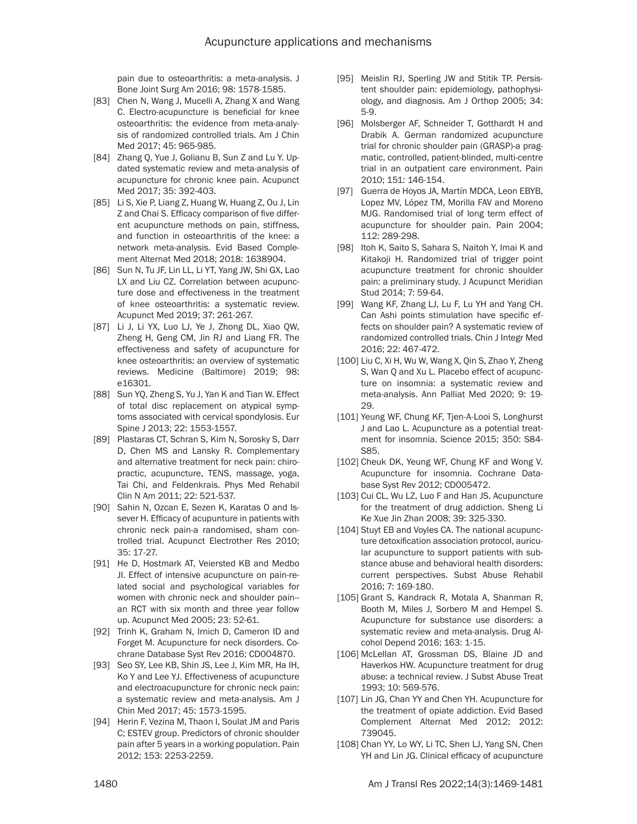pain due to osteoarthritis: a meta-analysis. J Bone Joint Surg Am 2016; 98: 1578-1585.

- [83] Chen N, Wang J, Mucelli A, Zhang X and Wang C. Electro-acupuncture is beneficial for knee osteoarthritis: the evidence from meta-analysis of randomized controlled trials. Am J Chin Med 2017; 45: 965-985.
- [84] Zhang Q, Yue J, Golianu B, Sun Z and Lu Y. Updated systematic review and meta-analysis of acupuncture for chronic knee pain. Acupunct Med 2017; 35: 392-403.
- [85] Li S, Xie P, Liang Z, Huang W, Huang Z, Ou J, Lin Z and Chai S. Efficacy comparison of five different acupuncture methods on pain, stiffness, and function in osteoarthritis of the knee: a network meta-analysis. Evid Based Complement Alternat Med 2018; 2018: 1638904.
- [86] Sun N, Tu JF, Lin LL, Li YT, Yang JW, Shi GX, Lao LX and Liu CZ. Correlation between acupuncture dose and effectiveness in the treatment of knee osteoarthritis: a systematic review. Acupunct Med 2019; 37: 261-267.
- [87] Li J, Li YX, Luo LJ, Ye J, Zhong DL, Xiao QW, Zheng H, Geng CM, Jin RJ and Liang FR. The effectiveness and safety of acupuncture for knee osteoarthritis: an overview of systematic reviews. Medicine (Baltimore) 2019; 98: e16301.
- [88] Sun YQ, Zheng S, Yu J, Yan K and Tian W. Effect of total disc replacement on atypical symptoms associated with cervical spondylosis. Eur Spine J 2013; 22: 1553-1557.
- [89] Plastaras CT, Schran S, Kim N, Sorosky S, Darr D, Chen MS and Lansky R. Complementary and alternative treatment for neck pain: chiropractic, acupuncture, TENS, massage, yoga, Tai Chi, and Feldenkrais. Phys Med Rehabil Clin N Am 2011; 22: 521-537.
- [90] Sahin N, Ozcan E, Sezen K, Karatas O and Issever H. Efficacy of acupunture in patients with chronic neck pain-a randomised, sham controlled trial. Acupunct Electrother Res 2010; 35: 17-27.
- [91] He D, Hostmark AT, Veiersted KB and Medbo JI. Effect of intensive acupuncture on pain-related social and psychological variables for women with chronic neck and shoulder pain- an RCT with six month and three year follow up. Acupunct Med 2005; 23: 52-61.
- [92] Trinh K, Graham N, Irnich D, Cameron ID and Forget M. Acupuncture for neck disorders. Cochrane Database Syst Rev 2016; CD004870.
- [93] Seo SY, Lee KB, Shin JS, Lee J, Kim MR, Ha IH, Ko Y and Lee YJ. Effectiveness of acupuncture and electroacupuncture for chronic neck pain: a systematic review and meta-analysis. Am J Chin Med 2017; 45: 1573-1595.
- [94] Herin F, Vezina M, Thaon I, Soulat JM and Paris C; ESTEV group. Predictors of chronic shoulder pain after 5 years in a working population. Pain 2012; 153: 2253-2259.
- [95] Meislin RJ, Sperling JW and Stitik TP. Persistent shoulder pain: epidemiology, pathophysiology, and diagnosis. Am J Orthop 2005; 34: 5-9.
- [96] Molsberger AF, Schneider T, Gotthardt H and Drabik A. German randomized acupuncture trial for chronic shoulder pain (GRASP)-a pragmatic, controlled, patient-blinded, multi-centre trial in an outpatient care environment. Pain 2010; 151: 146-154.
- [97] Guerra de Hoyos JA, Martín MDCA, Leon EBYB, Lopez MV, López TM, Morilla FAV and Moreno MJG. Randomised trial of long term effect of acupuncture for shoulder pain. Pain 2004; 112: 289-298.
- [98] Itoh K, Saito S, Sahara S, Naitoh Y, Imai K and Kitakoji H. Randomized trial of trigger point acupuncture treatment for chronic shoulder pain: a preliminary study. J Acupunct Meridian Stud 2014; 7: 59-64.
- [99] Wang KF, Zhang LJ, Lu F, Lu YH and Yang CH. Can Ashi points stimulation have specific effects on shoulder pain? A systematic review of randomized controlled trials. Chin J Integr Med 2016; 22: 467-472.
- [100] Liu C, Xi H, Wu W, Wang X, Qin S, Zhao Y, Zheng S, Wan Q and Xu L. Placebo effect of acupuncture on insomnia: a systematic review and meta-analysis. Ann Palliat Med 2020; 9: 19- 29.
- [101] Yeung WF, Chung KF, Tjen-A-Looi S, Longhurst J and Lao L. Acupuncture as a potential treatment for insomnia. Science 2015; 350: S84- S85.
- [102] Cheuk DK, Yeung WF, Chung KF and Wong V. Acupuncture for insomnia. Cochrane Database Syst Rev 2012; CD005472.
- [103] Cui CL, Wu LZ, Luo F and Han JS. Acupuncture for the treatment of drug addiction. Sheng Li Ke Xue Jin Zhan 2008; 39: 325-330.
- [104] Stuyt EB and Voyles CA. The national acupuncture detoxification association protocol, auricular acupuncture to support patients with substance abuse and behavioral health disorders: current perspectives. Subst Abuse Rehabil 2016; 7: 169-180.
- [105] Grant S, Kandrack R, Motala A, Shanman R, Booth M, Miles J, Sorbero M and Hempel S. Acupuncture for substance use disorders: a systematic review and meta-analysis. Drug Alcohol Depend 2016; 163: 1-15.
- [106] McLellan AT, Grossman DS, Blaine JD and Haverkos HW. Acupuncture treatment for drug abuse: a technical review. J Subst Abuse Treat 1993; 10: 569-576.
- [107] Lin JG, Chan YY and Chen YH. Acupuncture for the treatment of opiate addiction. Evid Based Complement Alternat Med 2012; 2012: 739045.
- [108] Chan YY, Lo WY, Li TC, Shen LJ, Yang SN, Chen YH and Lin JG. Clinical efficacy of acupuncture